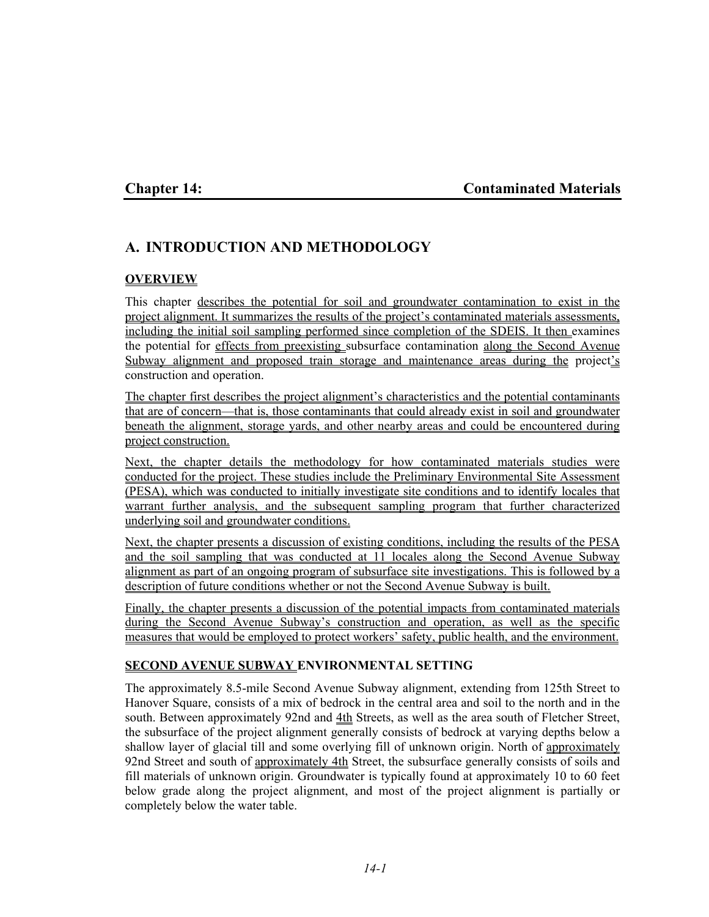## **Chapter 14: Contaminated Materials**

# **A. INTRODUCTION AND METHODOLOGY**

#### **OVERVIEW**

This chapter describes the potential for soil and groundwater contamination to exist in the project alignment. It summarizes the results of the project's contaminated materials assessments, including the initial soil sampling performed since completion of the SDEIS. It then examines the potential for effects from preexisting subsurface contamination along the Second Avenue Subway alignment and proposed train storage and maintenance areas during the project's construction and operation.

The chapter first describes the project alignment's characteristics and the potential contaminants that are of concern—that is, those contaminants that could already exist in soil and groundwater beneath the alignment, storage yards, and other nearby areas and could be encountered during project construction.

Next, the chapter details the methodology for how contaminated materials studies were conducted for the project. These studies include the Preliminary Environmental Site Assessment (PESA), which was conducted to initially investigate site conditions and to identify locales that warrant further analysis, and the subsequent sampling program that further characterized underlying soil and groundwater conditions.

Next, the chapter presents a discussion of existing conditions, including the results of the PESA and the soil sampling that was conducted at 11 locales along the Second Avenue Subway alignment as part of an ongoing program of subsurface site investigations. This is followed by a description of future conditions whether or not the Second Avenue Subway is built.

Finally, the chapter presents a discussion of the potential impacts from contaminated materials during the Second Avenue Subway's construction and operation, as well as the specific measures that would be employed to protect workers' safety, public health, and the environment.

### **SECOND AVENUE SUBWAY ENVIRONMENTAL SETTING**

The approximately 8.5-mile Second Avenue Subway alignment, extending from 125th Street to Hanover Square, consists of a mix of bedrock in the central area and soil to the north and in the south. Between approximately 92nd and 4th Streets, as well as the area south of Fletcher Street, the subsurface of the project alignment generally consists of bedrock at varying depths below a shallow layer of glacial till and some overlying fill of unknown origin. North of approximately 92nd Street and south of approximately 4th Street, the subsurface generally consists of soils and fill materials of unknown origin. Groundwater is typically found at approximately 10 to 60 feet below grade along the project alignment, and most of the project alignment is partially or completely below the water table.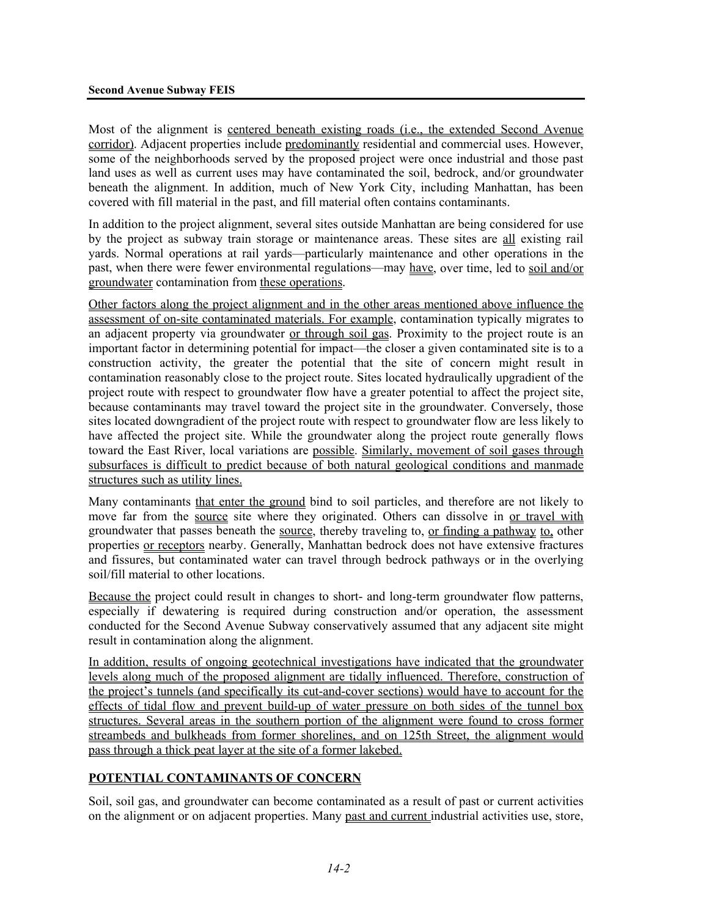Most of the alignment is centered beneath existing roads (i.e., the extended Second Avenue corridor). Adjacent properties include predominantly residential and commercial uses. However, some of the neighborhoods served by the proposed project were once industrial and those past land uses as well as current uses may have contaminated the soil, bedrock, and/or groundwater beneath the alignment. In addition, much of New York City, including Manhattan, has been covered with fill material in the past, and fill material often contains contaminants.

In addition to the project alignment, several sites outside Manhattan are being considered for use by the project as subway train storage or maintenance areas. These sites are all existing rail yards. Normal operations at rail yards—particularly maintenance and other operations in the past, when there were fewer environmental regulations—may have, over time, led to soil and/or groundwater contamination from these operations.

Other factors along the project alignment and in the other areas mentioned above influence the assessment of on-site contaminated materials. For example, contamination typically migrates to an adjacent property via groundwater or through soil gas. Proximity to the project route is an important factor in determining potential for impact—the closer a given contaminated site is to a construction activity, the greater the potential that the site of concern might result in contamination reasonably close to the project route. Sites located hydraulically upgradient of the project route with respect to groundwater flow have a greater potential to affect the project site, because contaminants may travel toward the project site in the groundwater. Conversely, those sites located downgradient of the project route with respect to groundwater flow are less likely to have affected the project site. While the groundwater along the project route generally flows toward the East River, local variations are possible. Similarly, movement of soil gases through subsurfaces is difficult to predict because of both natural geological conditions and manmade structures such as utility lines.

Many contaminants that enter the ground bind to soil particles, and therefore are not likely to move far from the source site where they originated. Others can dissolve in or travel with groundwater that passes beneath the source, thereby traveling to, or finding a pathway to, other properties or receptors nearby. Generally, Manhattan bedrock does not have extensive fractures and fissures, but contaminated water can travel through bedrock pathways or in the overlying soil/fill material to other locations.

Because the project could result in changes to short- and long-term groundwater flow patterns, especially if dewatering is required during construction and/or operation, the assessment conducted for the Second Avenue Subway conservatively assumed that any adjacent site might result in contamination along the alignment.

In addition, results of ongoing geotechnical investigations have indicated that the groundwater levels along much of the proposed alignment are tidally influenced. Therefore, construction of the project's tunnels (and specifically its cut-and-cover sections) would have to account for the effects of tidal flow and prevent build-up of water pressure on both sides of the tunnel box structures. Several areas in the southern portion of the alignment were found to cross former streambeds and bulkheads from former shorelines, and on 125th Street, the alignment would pass through a thick peat layer at the site of a former lakebed.

### **POTENTIAL CONTAMINANTS OF CONCERN**

Soil, soil gas, and groundwater can become contaminated as a result of past or current activities on the alignment or on adjacent properties. Many past and current industrial activities use, store,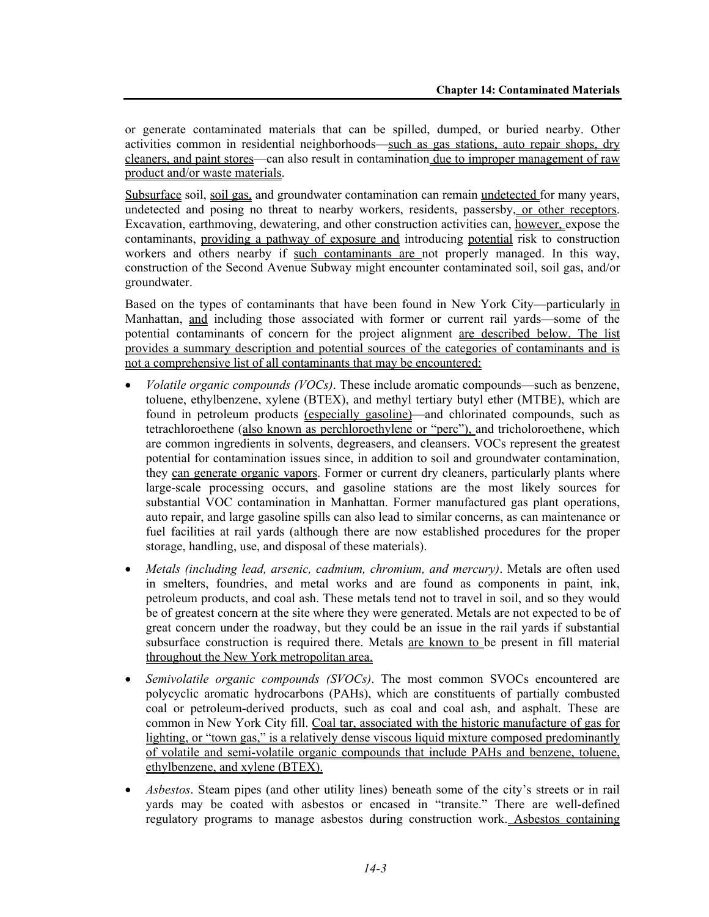or generate contaminated materials that can be spilled, dumped, or buried nearby. Other activities common in residential neighborhoods—such as gas stations, auto repair shops, dry cleaners, and paint stores—can also result in contamination due to improper management of raw product and/or waste materials.

Subsurface soil, soil gas, and groundwater contamination can remain undetected for many years, undetected and posing no threat to nearby workers, residents, passersby, or other receptors. Excavation, earthmoving, dewatering, and other construction activities can, however, expose the contaminants, providing a pathway of exposure and introducing potential risk to construction workers and others nearby if such contaminants are not properly managed. In this way, construction of the Second Avenue Subway might encounter contaminated soil, soil gas, and/or groundwater.

Based on the types of contaminants that have been found in New York City—particularly in Manhattan, and including those associated with former or current rail yards—some of the potential contaminants of concern for the project alignment are described below. The list provides a summary description and potential sources of the categories of contaminants and is not a comprehensive list of all contaminants that may be encountered:

- *Volatile organic compounds (VOCs)*. These include aromatic compounds—such as benzene, toluene, ethylbenzene, xylene (BTEX), and methyl tertiary butyl ether (MTBE), which are found in petroleum products (especially gasoline)—and chlorinated compounds, such as tetrachloroethene (also known as perchloroethylene or "perc"), and tricholoroethene, which are common ingredients in solvents, degreasers, and cleansers. VOCs represent the greatest potential for contamination issues since, in addition to soil and groundwater contamination, they can generate organic vapors. Former or current dry cleaners, particularly plants where large-scale processing occurs, and gasoline stations are the most likely sources for substantial VOC contamination in Manhattan. Former manufactured gas plant operations, auto repair, and large gasoline spills can also lead to similar concerns, as can maintenance or fuel facilities at rail yards (although there are now established procedures for the proper storage, handling, use, and disposal of these materials).
- *Metals (including lead, arsenic, cadmium, chromium, and mercury)*. Metals are often used in smelters, foundries, and metal works and are found as components in paint, ink, petroleum products, and coal ash. These metals tend not to travel in soil, and so they would be of greatest concern at the site where they were generated. Metals are not expected to be of great concern under the roadway, but they could be an issue in the rail yards if substantial subsurface construction is required there. Metals are known to be present in fill material throughout the New York metropolitan area.
- *Semivolatile organic compounds (SVOCs)*. The most common SVOCs encountered are polycyclic aromatic hydrocarbons (PAHs), which are constituents of partially combusted coal or petroleum-derived products, such as coal and coal ash, and asphalt. These are common in New York City fill. Coal tar, associated with the historic manufacture of gas for lighting, or "town gas," is a relatively dense viscous liquid mixture composed predominantly of volatile and semi-volatile organic compounds that include PAHs and benzene, toluene, ethylbenzene, and xylene (BTEX).
- *Asbestos*. Steam pipes (and other utility lines) beneath some of the city's streets or in rail yards may be coated with asbestos or encased in "transite." There are well-defined regulatory programs to manage asbestos during construction work. Asbestos containing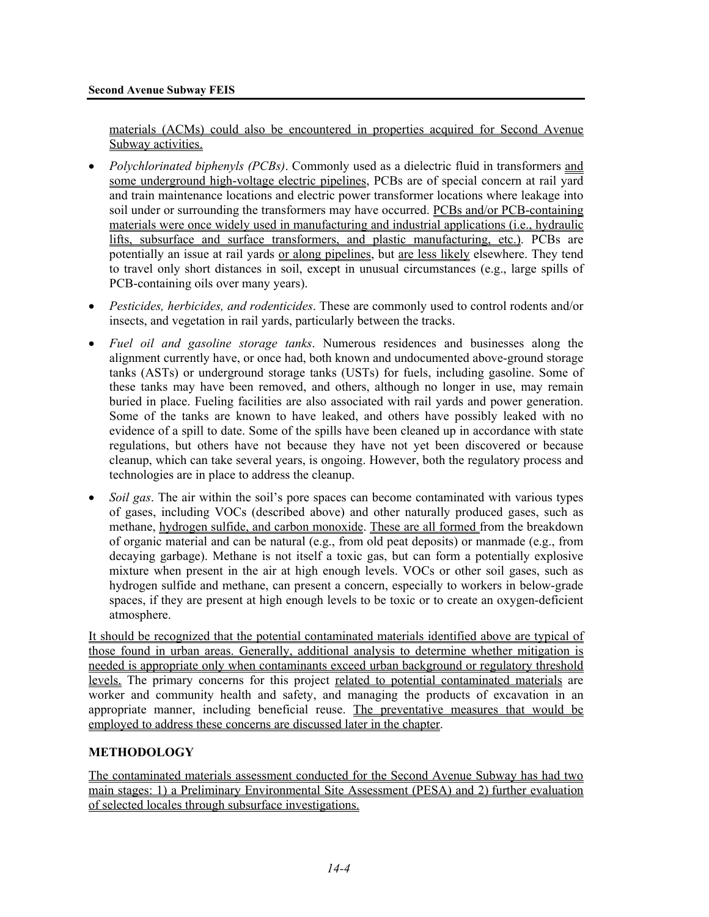materials (ACMs) could also be encountered in properties acquired for Second Avenue Subway activities.

- *Polychlorinated biphenyls (PCBs)*. Commonly used as a dielectric fluid in transformers and some underground high-voltage electric pipelines, PCBs are of special concern at rail yard and train maintenance locations and electric power transformer locations where leakage into soil under or surrounding the transformers may have occurred. PCBs and/or PCB-containing materials were once widely used in manufacturing and industrial applications (i.e., hydraulic lifts, subsurface and surface transformers, and plastic manufacturing, etc.). PCBs are potentially an issue at rail yards or along pipelines, but are less likely elsewhere. They tend to travel only short distances in soil, except in unusual circumstances (e.g., large spills of PCB-containing oils over many years).
- *Pesticides, herbicides, and rodenticides*. These are commonly used to control rodents and/or insects, and vegetation in rail yards, particularly between the tracks.
- *Fuel oil and gasoline storage tanks*. Numerous residences and businesses along the alignment currently have, or once had, both known and undocumented above-ground storage tanks (ASTs) or underground storage tanks (USTs) for fuels, including gasoline. Some of these tanks may have been removed, and others, although no longer in use, may remain buried in place. Fueling facilities are also associated with rail yards and power generation. Some of the tanks are known to have leaked, and others have possibly leaked with no evidence of a spill to date. Some of the spills have been cleaned up in accordance with state regulations, but others have not because they have not yet been discovered or because cleanup, which can take several years, is ongoing. However, both the regulatory process and technologies are in place to address the cleanup.
- *Soil gas*. The air within the soil's pore spaces can become contaminated with various types of gases, including VOCs (described above) and other naturally produced gases, such as methane, hydrogen sulfide, and carbon monoxide. These are all formed from the breakdown of organic material and can be natural (e.g., from old peat deposits) or manmade (e.g., from decaying garbage). Methane is not itself a toxic gas, but can form a potentially explosive mixture when present in the air at high enough levels. VOCs or other soil gases, such as hydrogen sulfide and methane, can present a concern, especially to workers in below-grade spaces, if they are present at high enough levels to be toxic or to create an oxygen-deficient atmosphere.

It should be recognized that the potential contaminated materials identified above are typical of those found in urban areas. Generally, additional analysis to determine whether mitigation is needed is appropriate only when contaminants exceed urban background or regulatory threshold levels. The primary concerns for this project related to potential contaminated materials are worker and community health and safety, and managing the products of excavation in an appropriate manner, including beneficial reuse. The preventative measures that would be employed to address these concerns are discussed later in the chapter.

### **METHODOLOGY**

The contaminated materials assessment conducted for the Second Avenue Subway has had two main stages: 1) a Preliminary Environmental Site Assessment (PESA) and 2) further evaluation of selected locales through subsurface investigations.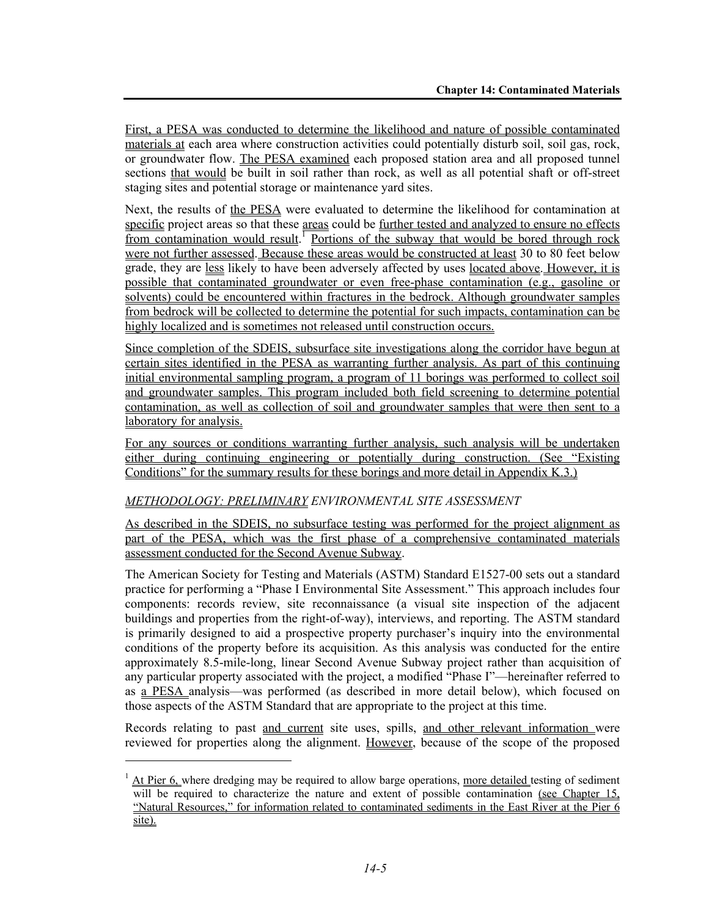First, a PESA was conducted to determine the likelihood and nature of possible contaminated materials at each area where construction activities could potentially disturb soil, soil gas, rock, or groundwater flow. The PESA examined each proposed station area and all proposed tunnel sections that would be built in soil rather than rock, as well as all potential shaft or off-street staging sites and potential storage or maintenance yard sites.

Next, the results of the PESA were evaluated to determine the likelihood for contamination at specific project areas so that these areas could be further tested and analyzed to ensure no effects from contamination would result.<sup>1</sup> Portions of the subway that would be bored through rock were not further assessed. Because these areas would be constructed at least 30 to 80 feet below grade, they are less likely to have been adversely affected by uses located above. However, it is possible that contaminated groundwater or even free-phase contamination (e.g., gasoline or solvents) could be encountered within fractures in the bedrock. Although groundwater samples from bedrock will be collected to determine the potential for such impacts, contamination can be highly localized and is sometimes not released until construction occurs.

Since completion of the SDEIS, subsurface site investigations along the corridor have begun at certain sites identified in the PESA as warranting further analysis. As part of this continuing initial environmental sampling program, a program of 11 borings was performed to collect soil and groundwater samples. This program included both field screening to determine potential contamination, as well as collection of soil and groundwater samples that were then sent to a laboratory for analysis.

For any sources or conditions warranting further analysis, such analysis will be undertaken either during continuing engineering or potentially during construction. (See "Existing Conditions" for the summary results for these borings and more detail in Appendix K.3.)

#### *METHODOLOGY: PRELIMINARY ENVIRONMENTAL SITE ASSESSMENT*

1

As described in the SDEIS, no subsurface testing was performed for the project alignment as part of the PESA, which was the first phase of a comprehensive contaminated materials assessment conducted for the Second Avenue Subway.

The American Society for Testing and Materials (ASTM) Standard E1527-00 sets out a standard practice for performing a "Phase I Environmental Site Assessment." This approach includes four components: records review, site reconnaissance (a visual site inspection of the adjacent buildings and properties from the right-of-way), interviews, and reporting. The ASTM standard is primarily designed to aid a prospective property purchaser's inquiry into the environmental conditions of the property before its acquisition. As this analysis was conducted for the entire approximately 8.5-mile-long, linear Second Avenue Subway project rather than acquisition of any particular property associated with the project, a modified "Phase I"—hereinafter referred to as a PESA analysis—was performed (as described in more detail below), which focused on those aspects of the ASTM Standard that are appropriate to the project at this time.

Records relating to past and current site uses, spills, and other relevant information were reviewed for properties along the alignment. However, because of the scope of the proposed

 $1$  At Pier 6, where dredging may be required to allow barge operations, more detailed testing of sediment will be required to characterize the nature and extent of possible contamination (see Chapter 15, "Natural Resources," for information related to contaminated sediments in the East River at the Pier 6 site).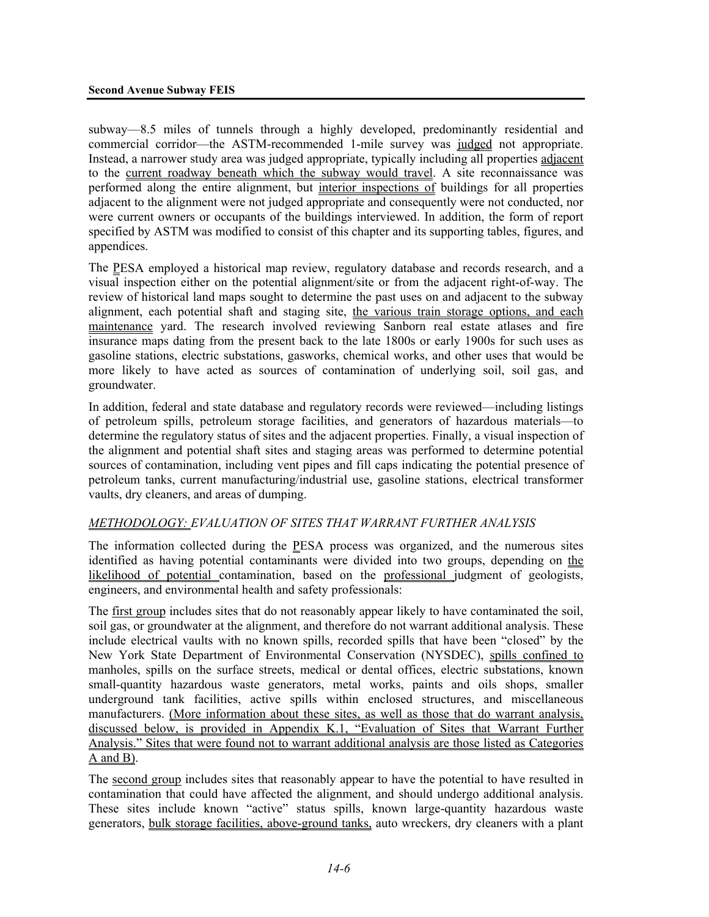subway—8.5 miles of tunnels through a highly developed, predominantly residential and commercial corridor—the ASTM-recommended 1-mile survey was judged not appropriate. Instead, a narrower study area was judged appropriate, typically including all properties adjacent to the current roadway beneath which the subway would travel. A site reconnaissance was performed along the entire alignment, but interior inspections of buildings for all properties adjacent to the alignment were not judged appropriate and consequently were not conducted, nor were current owners or occupants of the buildings interviewed. In addition, the form of report specified by ASTM was modified to consist of this chapter and its supporting tables, figures, and appendices.

The PESA employed a historical map review, regulatory database and records research, and a visual inspection either on the potential alignment/site or from the adjacent right-of-way. The review of historical land maps sought to determine the past uses on and adjacent to the subway alignment, each potential shaft and staging site, the various train storage options, and each maintenance yard. The research involved reviewing Sanborn real estate atlases and fire insurance maps dating from the present back to the late 1800s or early 1900s for such uses as gasoline stations, electric substations, gasworks, chemical works, and other uses that would be more likely to have acted as sources of contamination of underlying soil, soil gas, and groundwater.

In addition, federal and state database and regulatory records were reviewed—including listings of petroleum spills, petroleum storage facilities, and generators of hazardous materials—to determine the regulatory status of sites and the adjacent properties. Finally, a visual inspection of the alignment and potential shaft sites and staging areas was performed to determine potential sources of contamination, including vent pipes and fill caps indicating the potential presence of petroleum tanks, current manufacturing/industrial use, gasoline stations, electrical transformer vaults, dry cleaners, and areas of dumping.

### *METHODOLOGY: EVALUATION OF SITES THAT WARRANT FURTHER ANALYSIS*

The information collected during the PESA process was organized, and the numerous sites identified as having potential contaminants were divided into two groups, depending on the likelihood of potential contamination, based on the professional judgment of geologists, engineers, and environmental health and safety professionals:

The first group includes sites that do not reasonably appear likely to have contaminated the soil, soil gas, or groundwater at the alignment, and therefore do not warrant additional analysis. These include electrical vaults with no known spills, recorded spills that have been "closed" by the New York State Department of Environmental Conservation (NYSDEC), spills confined to manholes, spills on the surface streets, medical or dental offices, electric substations, known small-quantity hazardous waste generators, metal works, paints and oils shops, smaller underground tank facilities, active spills within enclosed structures, and miscellaneous manufacturers. (More information about these sites, as well as those that do warrant analysis, discussed below, is provided in Appendix K.1, "Evaluation of Sites that Warrant Further Analysis." Sites that were found not to warrant additional analysis are those listed as Categories A and B).

The second group includes sites that reasonably appear to have the potential to have resulted in contamination that could have affected the alignment, and should undergo additional analysis. These sites include known "active" status spills, known large-quantity hazardous waste generators, bulk storage facilities, above-ground tanks, auto wreckers, dry cleaners with a plant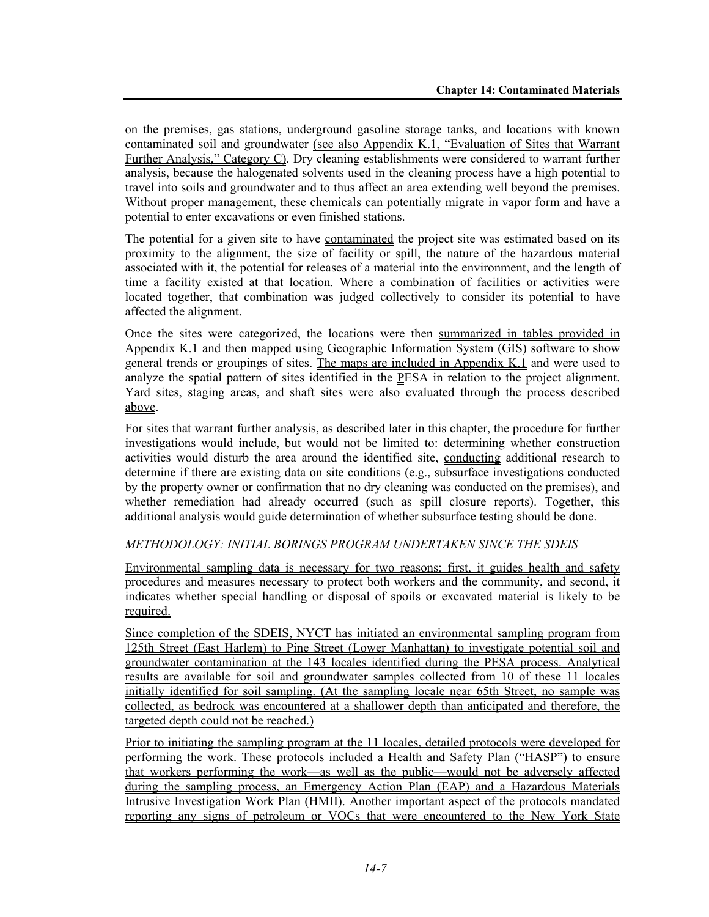on the premises, gas stations, underground gasoline storage tanks, and locations with known contaminated soil and groundwater (see also Appendix K.1, "Evaluation of Sites that Warrant Further Analysis," Category C). Dry cleaning establishments were considered to warrant further analysis, because the halogenated solvents used in the cleaning process have a high potential to travel into soils and groundwater and to thus affect an area extending well beyond the premises. Without proper management, these chemicals can potentially migrate in vapor form and have a potential to enter excavations or even finished stations.

The potential for a given site to have contaminated the project site was estimated based on its proximity to the alignment, the size of facility or spill, the nature of the hazardous material associated with it, the potential for releases of a material into the environment, and the length of time a facility existed at that location. Where a combination of facilities or activities were located together, that combination was judged collectively to consider its potential to have affected the alignment.

Once the sites were categorized, the locations were then summarized in tables provided in Appendix K.1 and then mapped using Geographic Information System (GIS) software to show general trends or groupings of sites. The maps are included in Appendix K.1 and were used to analyze the spatial pattern of sites identified in the PESA in relation to the project alignment. Yard sites, staging areas, and shaft sites were also evaluated through the process described above.

For sites that warrant further analysis, as described later in this chapter, the procedure for further investigations would include, but would not be limited to: determining whether construction activities would disturb the area around the identified site, conducting additional research to determine if there are existing data on site conditions (e.g., subsurface investigations conducted by the property owner or confirmation that no dry cleaning was conducted on the premises), and whether remediation had already occurred (such as spill closure reports). Together, this additional analysis would guide determination of whether subsurface testing should be done.

### *METHODOLOGY: INITIAL BORINGS PROGRAM UNDERTAKEN SINCE THE SDEIS*

Environmental sampling data is necessary for two reasons: first, it guides health and safety procedures and measures necessary to protect both workers and the community, and second, it indicates whether special handling or disposal of spoils or excavated material is likely to be required.

Since completion of the SDEIS, NYCT has initiated an environmental sampling program from 125th Street (East Harlem) to Pine Street (Lower Manhattan) to investigate potential soil and groundwater contamination at the 143 locales identified during the PESA process. Analytical results are available for soil and groundwater samples collected from 10 of these 11 locales initially identified for soil sampling. (At the sampling locale near 65th Street, no sample was collected, as bedrock was encountered at a shallower depth than anticipated and therefore, the targeted depth could not be reached.)

Prior to initiating the sampling program at the 11 locales, detailed protocols were developed for performing the work. These protocols included a Health and Safety Plan ("HASP") to ensure that workers performing the work—as well as the public—would not be adversely affected during the sampling process, an Emergency Action Plan (EAP) and a Hazardous Materials Intrusive Investigation Work Plan (HMII). Another important aspect of the protocols mandated reporting any signs of petroleum or VOCs that were encountered to the New York State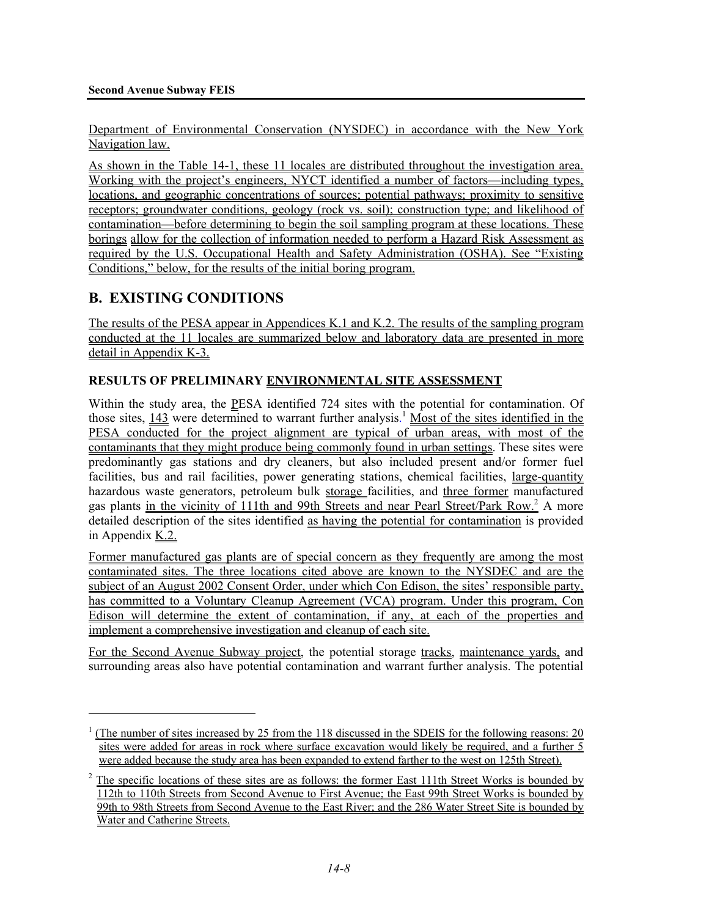Department of Environmental Conservation (NYSDEC) in accordance with the New York Navigation law.

As shown in the Table 14-1, these 11 locales are distributed throughout the investigation area. Working with the project's engineers, NYCT identified a number of factors—including types, locations, and geographic concentrations of sources; potential pathways; proximity to sensitive receptors; groundwater conditions, geology (rock vs. soil); construction type; and likelihood of contamination—before determining to begin the soil sampling program at these locations. These borings allow for the collection of information needed to perform a Hazard Risk Assessment as required by the U.S. Occupational Health and Safety Administration (OSHA). See "Existing Conditions," below, for the results of the initial boring program.

# **B. EXISTING CONDITIONS**

1

The results of the PESA appear in Appendices K.1 and K.2. The results of the sampling program conducted at the 11 locales are summarized below and laboratory data are presented in more detail in Appendix K-3.

### **RESULTS OF PRELIMINARY ENVIRONMENTAL SITE ASSESSMENT**

Within the study area, the PESA identified 724 sites with the potential for contamination. Of those sites,  $\frac{143}{12}$  were determined to warrant further analysis.<sup>1</sup> Most of the sites identified in the PESA conducted for the project alignment are typical of urban areas, with most of the contaminants that they might produce being commonly found in urban settings. These sites were predominantly gas stations and dry cleaners, but also included present and/or former fuel facilities, bus and rail facilities, power generating stations, chemical facilities, large-quantity hazardous waste generators, petroleum bulk storage facilities, and three former manufactured gas plants in the vicinity of 111th and 99th Streets and near Pearl Street/Park Row.<sup>2</sup> A more detailed description of the sites identified as having the potential for contamination is provided in Appendix K.2.

Former manufactured gas plants are of special concern as they frequently are among the most contaminated sites. The three locations cited above are known to the NYSDEC and are the subject of an August 2002 Consent Order, under which Con Edison, the sites' responsible party, has committed to a Voluntary Cleanup Agreement (VCA) program. Under this program, Con Edison will determine the extent of contamination, if any, at each of the properties and implement a comprehensive investigation and cleanup of each site.

For the Second Avenue Subway project, the potential storage tracks, maintenance yards, and surrounding areas also have potential contamination and warrant further analysis. The potential

<sup>&</sup>lt;sup>1</sup> (The number of sites increased by 25 from the 118 discussed in the SDEIS for the following reasons: 20 sites were added for areas in rock where surface excavation would likely be required, and a further 5 were added because the study area has been expanded to extend farther to the west on 125th Street).

<sup>&</sup>lt;sup>2</sup> The specific locations of these sites are as follows: the former East 111th Street Works is bounded by 112th to 110th Streets from Second Avenue to First Avenue; the East 99th Street Works is bounded by 99th to 98th Streets from Second Avenue to the East River; and the 286 Water Street Site is bounded by Water and Catherine Streets.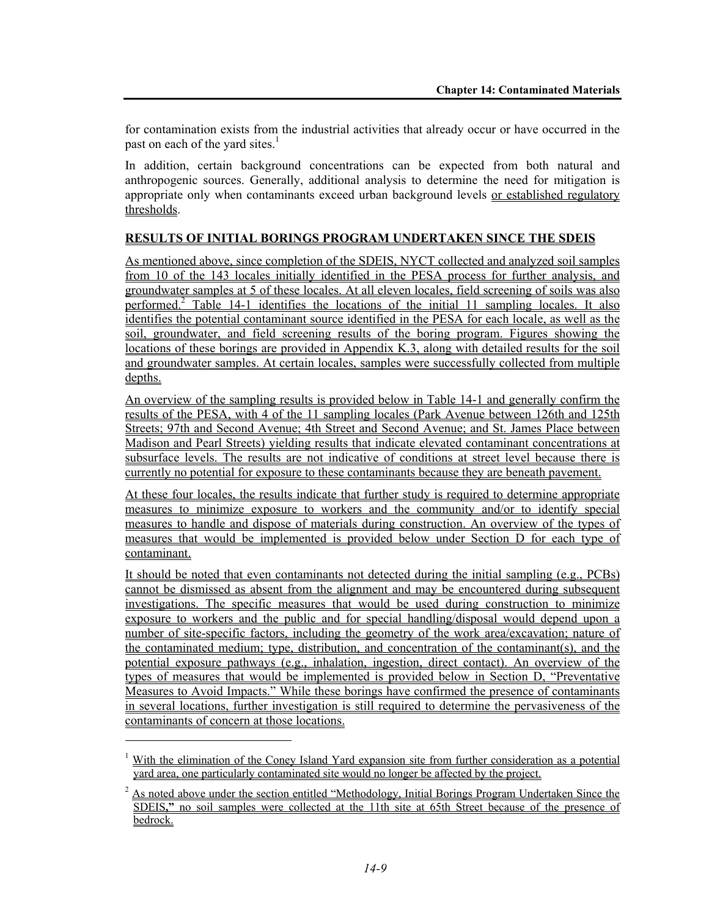for contamination exists from the industrial activities that already occur or have occurred in the past on each of the yard sites. $<sup>1</sup>$ </sup>

In addition, certain background concentrations can be expected from both natural and anthropogenic sources. Generally, additional analysis to determine the need for mitigation is appropriate only when contaminants exceed urban background levels or established regulatory thresholds.

#### **RESULTS OF INITIAL BORINGS PROGRAM UNDERTAKEN SINCE THE SDEIS**

As mentioned above, since completion of the SDEIS, NYCT collected and analyzed soil samples from 10 of the 143 locales initially identified in the PESA process for further analysis, and groundwater samples at 5 of these locales. At all eleven locales, field screening of soils was also performed.<sup>2</sup> Table 14-1 identifies the locations of the initial 11 sampling locales. It also identifies the potential contaminant source identified in the PESA for each locale, as well as the soil, groundwater, and field screening results of the boring program. Figures showing the locations of these borings are provided in Appendix K.3, along with detailed results for the soil and groundwater samples. At certain locales, samples were successfully collected from multiple depths.

An overview of the sampling results is provided below in Table 14-1 and generally confirm the results of the PESA, with 4 of the 11 sampling locales (Park Avenue between 126th and 125th Streets; 97th and Second Avenue; 4th Street and Second Avenue; and St. James Place between Madison and Pearl Streets) yielding results that indicate elevated contaminant concentrations at subsurface levels. The results are not indicative of conditions at street level because there is currently no potential for exposure to these contaminants because they are beneath pavement.

At these four locales, the results indicate that further study is required to determine appropriate measures to minimize exposure to workers and the community and/or to identify special measures to handle and dispose of materials during construction. An overview of the types of measures that would be implemented is provided below under Section D for each type of contaminant.

It should be noted that even contaminants not detected during the initial sampling (e.g., PCBs) cannot be dismissed as absent from the alignment and may be encountered during subsequent investigations. The specific measures that would be used during construction to minimize exposure to workers and the public and for special handling/disposal would depend upon a number of site-specific factors, including the geometry of the work area/excavation; nature of the contaminated medium; type, distribution, and concentration of the contaminant(s), and the potential exposure pathways (e.g., inhalation, ingestion, direct contact). An overview of the types of measures that would be implemented is provided below in Section D, "Preventative Measures to Avoid Impacts." While these borings have confirmed the presence of contaminants in several locations, further investigation is still required to determine the pervasiveness of the contaminants of concern at those locations.

l

<sup>&</sup>lt;sup>1</sup> With the elimination of the Coney Island Yard expansion site from further consideration as a potential yard area, one particularly contaminated site would no longer be affected by the project.

 $2$  As noted above under the section entitled "Methodology, Initial Borings Program Undertaken Since the SDEIS**,"** no soil samples were collected at the 11th site at 65th Street because of the presence of bedrock.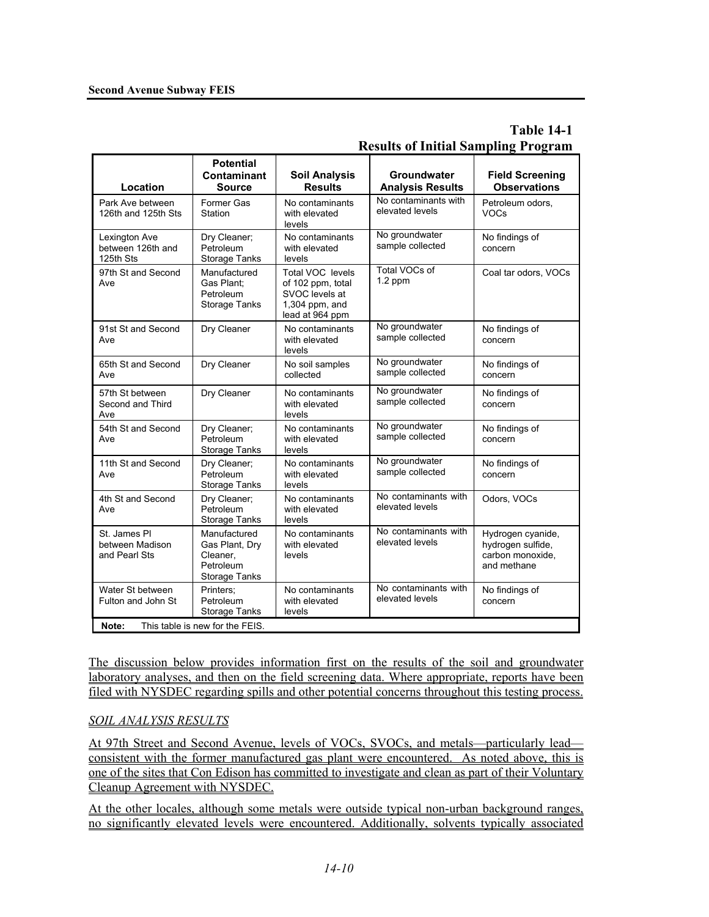## **Table 14-1 Results of Initial Sampling Program**

|                                                  | <b>Potential</b><br>Contaminant                                                 | <b>Soil Analysis</b>                                                                           | Groundwater                             | <b>Field Screening</b>                                                    |
|--------------------------------------------------|---------------------------------------------------------------------------------|------------------------------------------------------------------------------------------------|-----------------------------------------|---------------------------------------------------------------------------|
| Location                                         | <b>Source</b>                                                                   | <b>Results</b>                                                                                 | <b>Analysis Results</b>                 | <b>Observations</b>                                                       |
| Park Ave between<br>126th and 125th Sts          | Former Gas<br>Station                                                           | No contaminants<br>with elevated<br>levels                                                     | No contaminants with<br>elevated levels | Petroleum odors,<br><b>VOCs</b>                                           |
| Lexington Ave<br>between 126th and<br>125th Sts  | Dry Cleaner;<br>Petroleum<br>Storage Tanks                                      | No contaminants<br>with elevated<br>levels                                                     | No groundwater<br>sample collected      | No findings of<br>concern                                                 |
| 97th St and Second<br>Ave                        | Manufactured<br>Gas Plant:<br>Petroleum<br><b>Storage Tanks</b>                 | Total VOC levels<br>of 102 ppm, total<br>SVOC levels at<br>$1,304$ ppm, and<br>lead at 964 ppm | Total VOCs of<br>$1.2$ ppm              | Coal tar odors, VOCs                                                      |
| 91st St and Second<br>Ave                        | Dry Cleaner                                                                     | No contaminants<br>with elevated<br>levels                                                     | No groundwater<br>sample collected      | No findings of<br>concern                                                 |
| 65th St and Second<br>Ave                        | Dry Cleaner                                                                     | No soil samples<br>collected                                                                   | No groundwater<br>sample collected      | No findings of<br>concern                                                 |
| 57th St between<br>Second and Third<br>Ave       | Dry Cleaner                                                                     | No contaminants<br>with elevated<br>levels                                                     | No groundwater<br>sample collected      | No findings of<br>concern                                                 |
| 54th St and Second<br>Ave                        | Dry Cleaner;<br>Petroleum<br><b>Storage Tanks</b>                               | No contaminants<br>with elevated<br>levels                                                     | No groundwater<br>sample collected      | No findings of<br>concern                                                 |
| 11th St and Second<br>Ave                        | Dry Cleaner;<br>Petroleum<br><b>Storage Tanks</b>                               | No contaminants<br>with elevated<br>levels                                                     | No groundwater<br>sample collected      | No findings of<br>concern                                                 |
| 4th St and Second<br>Ave                         | Dry Cleaner;<br>Petroleum<br><b>Storage Tanks</b>                               | No contaminants<br>with elevated<br>levels                                                     | No contaminants with<br>elevated levels | Odors, VOCs                                                               |
| St. James PI<br>between Madison<br>and Pearl Sts | Manufactured<br>Gas Plant, Dry<br>Cleaner.<br>Petroleum<br><b>Storage Tanks</b> | No contaminants<br>with elevated<br>levels                                                     | No contaminants with<br>elevated levels | Hydrogen cyanide,<br>hydrogen sulfide,<br>carbon monoxide,<br>and methane |
| Water St between<br>Fulton and John St           | Printers:<br>Petroleum<br>Storage Tanks                                         | No contaminants<br>with elevated<br>levels                                                     | No contaminants with<br>elevated levels | No findings of<br>concern                                                 |
| Note:<br>This table is new for the FEIS.         |                                                                                 |                                                                                                |                                         |                                                                           |

The discussion below provides information first on the results of the soil and groundwater laboratory analyses, and then on the field screening data. Where appropriate, reports have been filed with NYSDEC regarding spills and other potential concerns throughout this testing process.

## *SOIL ANALYSIS RESULTS*

At 97th Street and Second Avenue, levels of VOCs, SVOCs, and metals—particularly lead consistent with the former manufactured gas plant were encountered. As noted above, this is one of the sites that Con Edison has committed to investigate and clean as part of their Voluntary Cleanup Agreement with NYSDEC.

At the other locales, although some metals were outside typical non-urban background ranges, no significantly elevated levels were encountered. Additionally, solvents typically associated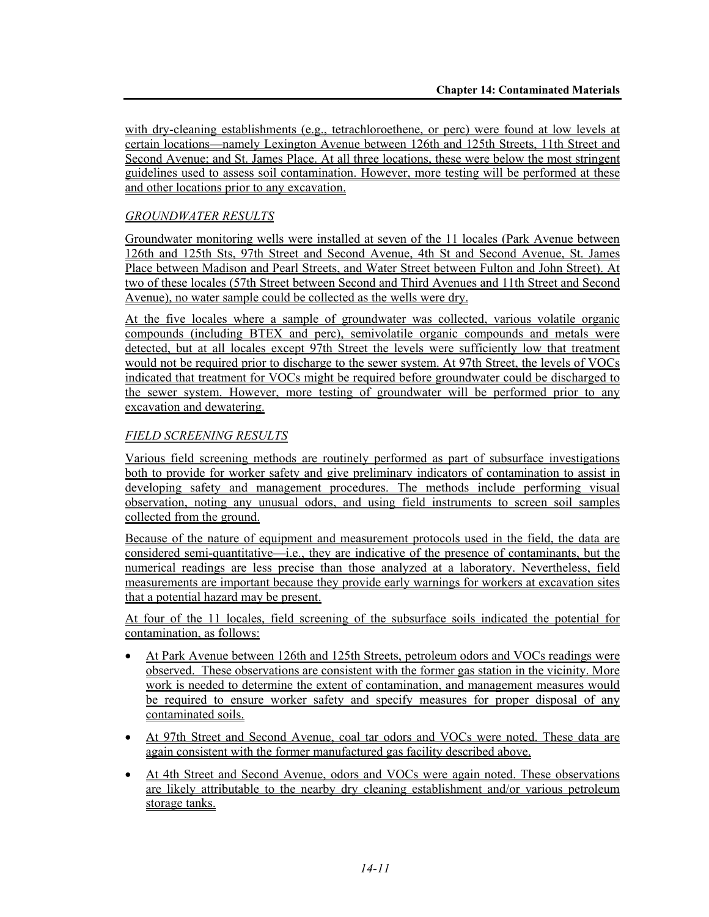with dry-cleaning establishments (e.g., tetrachloroethene, or perc) were found at low levels at certain locations—namely Lexington Avenue between 126th and 125th Streets, 11th Street and Second Avenue; and St. James Place. At all three locations, these were below the most stringent guidelines used to assess soil contamination. However, more testing will be performed at these and other locations prior to any excavation.

## *GROUNDWATER RESULTS*

Groundwater monitoring wells were installed at seven of the 11 locales (Park Avenue between 126th and 125th Sts, 97th Street and Second Avenue, 4th St and Second Avenue, St. James Place between Madison and Pearl Streets, and Water Street between Fulton and John Street). At two of these locales (57th Street between Second and Third Avenues and 11th Street and Second Avenue), no water sample could be collected as the wells were dry.

At the five locales where a sample of groundwater was collected, various volatile organic compounds (including BTEX and perc), semivolatile organic compounds and metals were detected, but at all locales except 97th Street the levels were sufficiently low that treatment would not be required prior to discharge to the sewer system. At 97th Street, the levels of VOCs indicated that treatment for VOCs might be required before groundwater could be discharged to the sewer system. However, more testing of groundwater will be performed prior to any excavation and dewatering.

## *FIELD SCREENING RESULTS*

Various field screening methods are routinely performed as part of subsurface investigations both to provide for worker safety and give preliminary indicators of contamination to assist in developing safety and management procedures. The methods include performing visual observation, noting any unusual odors, and using field instruments to screen soil samples collected from the ground.

Because of the nature of equipment and measurement protocols used in the field, the data are considered semi-quantitative—i.e., they are indicative of the presence of contaminants, but the numerical readings are less precise than those analyzed at a laboratory. Nevertheless, field measurements are important because they provide early warnings for workers at excavation sites that a potential hazard may be present.

At four of the 11 locales, field screening of the subsurface soils indicated the potential for contamination, as follows:

- At Park Avenue between 126th and 125th Streets, petroleum odors and VOCs readings were observed. These observations are consistent with the former gas station in the vicinity. More work is needed to determine the extent of contamination, and management measures would be required to ensure worker safety and specify measures for proper disposal of any contaminated soils.
- At 97th Street and Second Avenue, coal tar odors and VOCs were noted. These data are again consistent with the former manufactured gas facility described above.
- At 4th Street and Second Avenue, odors and VOCs were again noted. These observations are likely attributable to the nearby dry cleaning establishment and/or various petroleum storage tanks.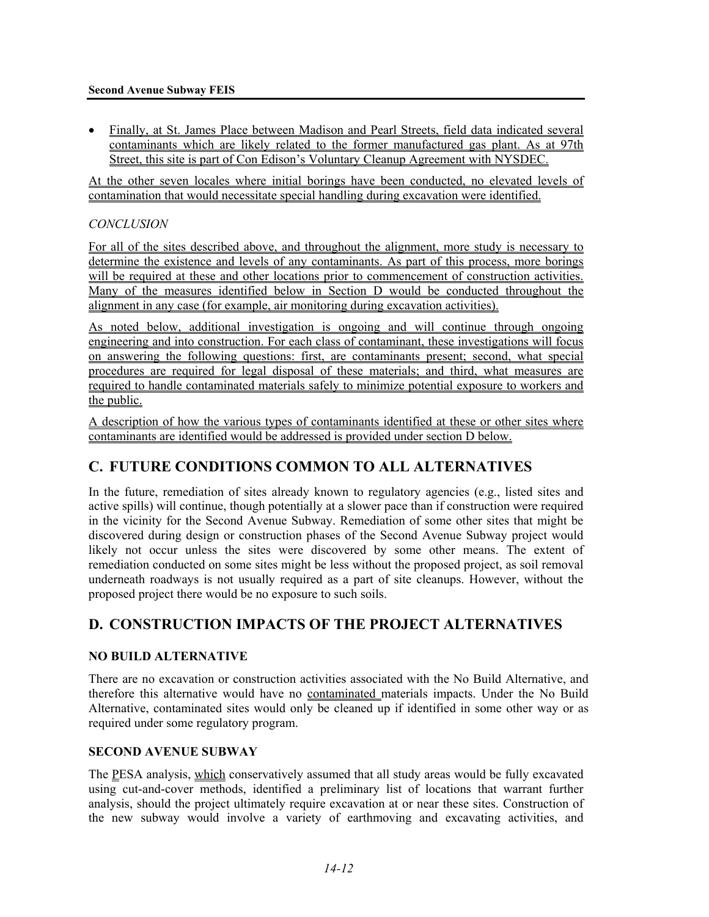• Finally, at St. James Place between Madison and Pearl Streets, field data indicated several contaminants which are likely related to the former manufactured gas plant. As at 97th Street, this site is part of Con Edison's Voluntary Cleanup Agreement with NYSDEC.

At the other seven locales where initial borings have been conducted, no elevated levels of contamination that would necessitate special handling during excavation were identified.

#### *CONCLUSION*

For all of the sites described above, and throughout the alignment, more study is necessary to determine the existence and levels of any contaminants. As part of this process, more borings will be required at these and other locations prior to commencement of construction activities. Many of the measures identified below in Section D would be conducted throughout the alignment in any case (for example, air monitoring during excavation activities).

As noted below, additional investigation is ongoing and will continue through ongoing engineering and into construction. For each class of contaminant, these investigations will focus on answering the following questions: first, are contaminants present; second, what special procedures are required for legal disposal of these materials; and third, what measures are required to handle contaminated materials safely to minimize potential exposure to workers and the public.

A description of how the various types of contaminants identified at these or other sites where contaminants are identified would be addressed is provided under section D below.

# **C. FUTURE CONDITIONS COMMON TO ALL ALTERNATIVES**

In the future, remediation of sites already known to regulatory agencies (e.g., listed sites and active spills) will continue, though potentially at a slower pace than if construction were required in the vicinity for the Second Avenue Subway. Remediation of some other sites that might be discovered during design or construction phases of the Second Avenue Subway project would likely not occur unless the sites were discovered by some other means. The extent of remediation conducted on some sites might be less without the proposed project, as soil removal underneath roadways is not usually required as a part of site cleanups. However, without the proposed project there would be no exposure to such soils.

# **D. CONSTRUCTION IMPACTS OF THE PROJECT ALTERNATIVES**

### **NO BUILD ALTERNATIVE**

There are no excavation or construction activities associated with the No Build Alternative, and therefore this alternative would have no contaminated materials impacts. Under the No Build Alternative, contaminated sites would only be cleaned up if identified in some other way or as required under some regulatory program.

#### **SECOND AVENUE SUBWAY**

The PESA analysis, which conservatively assumed that all study areas would be fully excavated using cut-and-cover methods, identified a preliminary list of locations that warrant further analysis, should the project ultimately require excavation at or near these sites. Construction of the new subway would involve a variety of earthmoving and excavating activities, and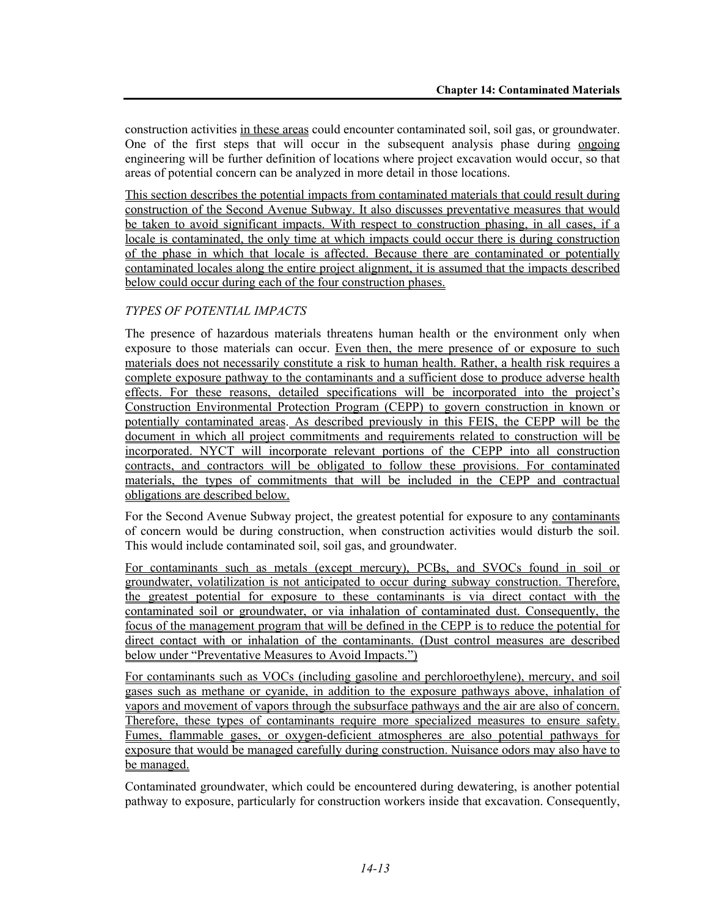construction activities in these areas could encounter contaminated soil, soil gas, or groundwater. One of the first steps that will occur in the subsequent analysis phase during ongoing engineering will be further definition of locations where project excavation would occur, so that areas of potential concern can be analyzed in more detail in those locations.

This section describes the potential impacts from contaminated materials that could result during construction of the Second Avenue Subway. It also discusses preventative measures that would be taken to avoid significant impacts. With respect to construction phasing, in all cases, if a locale is contaminated, the only time at which impacts could occur there is during construction of the phase in which that locale is affected. Because there are contaminated or potentially contaminated locales along the entire project alignment, it is assumed that the impacts described below could occur during each of the four construction phases.

### *TYPES OF POTENTIAL IMPACTS*

The presence of hazardous materials threatens human health or the environment only when exposure to those materials can occur. Even then, the mere presence of or exposure to such materials does not necessarily constitute a risk to human health. Rather, a health risk requires a complete exposure pathway to the contaminants and a sufficient dose to produce adverse health effects. For these reasons, detailed specifications will be incorporated into the project's Construction Environmental Protection Program (CEPP) to govern construction in known or potentially contaminated areas. As described previously in this FEIS, the CEPP will be the document in which all project commitments and requirements related to construction will be incorporated. NYCT will incorporate relevant portions of the CEPP into all construction contracts, and contractors will be obligated to follow these provisions. For contaminated materials, the types of commitments that will be included in the CEPP and contractual obligations are described below.

For the Second Avenue Subway project, the greatest potential for exposure to any contaminants of concern would be during construction, when construction activities would disturb the soil. This would include contaminated soil, soil gas, and groundwater.

For contaminants such as metals (except mercury), PCBs, and SVOCs found in soil or groundwater, volatilization is not anticipated to occur during subway construction. Therefore, the greatest potential for exposure to these contaminants is via direct contact with the contaminated soil or groundwater, or via inhalation of contaminated dust. Consequently, the focus of the management program that will be defined in the CEPP is to reduce the potential for direct contact with or inhalation of the contaminants. (Dust control measures are described below under "Preventative Measures to Avoid Impacts.")

For contaminants such as VOCs (including gasoline and perchloroethylene), mercury, and soil gases such as methane or cyanide, in addition to the exposure pathways above, inhalation of vapors and movement of vapors through the subsurface pathways and the air are also of concern. Therefore, these types of contaminants require more specialized measures to ensure safety. Fumes, flammable gases, or oxygen-deficient atmospheres are also potential pathways for exposure that would be managed carefully during construction. Nuisance odors may also have to be managed.

Contaminated groundwater, which could be encountered during dewatering, is another potential pathway to exposure, particularly for construction workers inside that excavation. Consequently,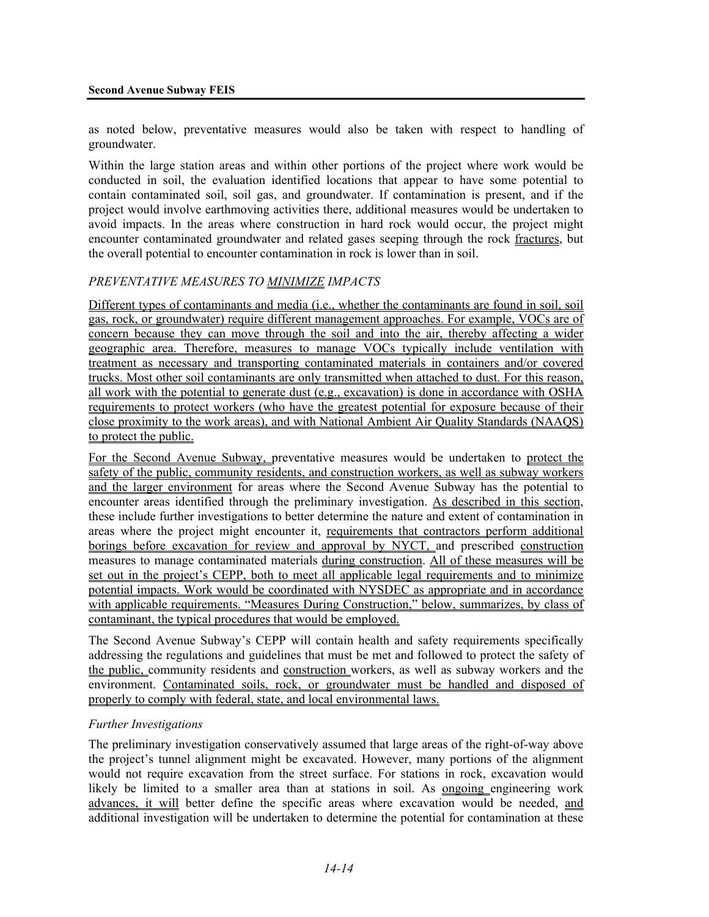as noted below, preventative measures would also be taken with respect to handling of groundwater.

Within the large station areas and within other portions of the project where work would be conducted in soil, the evaluation identified locations that appear to have some potential to contain contaminated soil, soil gas, and groundwater. If contamination is present, and if the project would involve earthmoving activities there, additional measures would be undertaken to avoid impacts. In the areas where construction in hard rock would occur, the project might encounter contaminated groundwater and related gases seeping through the rock fractures, but the overall potential to encounter contamination in rock is lower than in soil.

### *PREVENTATIVE MEASURES TO MINIMIZE IMPACTS*

Different types of contaminants and media (i.e., whether the contaminants are found in soil, soil gas, rock, or groundwater) require different management approaches. For example, VOCs are of concern because they can move through the soil and into the air, thereby affecting a wider geographic area. Therefore, measures to manage VOCs typically include ventilation with treatment as necessary and transporting contaminated materials in containers and/or covered trucks. Most other soil contaminants are only transmitted when attached to dust. For this reason, all work with the potential to generate dust (e.g., excavation) is done in accordance with OSHA requirements to protect workers (who have the greatest potential for exposure because of their close proximity to the work areas), and with National Ambient Air Quality Standards (NAAQS) to protect the public.

For the Second Avenue Subway, preventative measures would be undertaken to protect the safety of the public, community residents, and construction workers, as well as subway workers and the larger environment for areas where the Second Avenue Subway has the potential to encounter areas identified through the preliminary investigation. As described in this section, these include further investigations to better determine the nature and extent of contamination in areas where the project might encounter it, requirements that contractors perform additional borings before excavation for review and approval by NYCT, and prescribed construction measures to manage contaminated materials during construction. All of these measures will be set out in the project's CEPP, both to meet all applicable legal requirements and to minimize potential impacts. Work would be coordinated with NYSDEC as appropriate and in accordance with applicable requirements. "Measures During Construction," below, summarizes, by class of contaminant, the typical procedures that would be employed.

The Second Avenue Subway's CEPP will contain health and safety requirements specifically addressing the regulations and guidelines that must be met and followed to protect the safety of the public, community residents and construction workers, as well as subway workers and the environment. Contaminated soils, rock, or groundwater must be handled and disposed of properly to comply with federal, state, and local environmental laws.

#### *Further Investigations*

The preliminary investigation conservatively assumed that large areas of the right-of-way above the project's tunnel alignment might be excavated. However, many portions of the alignment would not require excavation from the street surface. For stations in rock, excavation would likely be limited to a smaller area than at stations in soil. As ongoing engineering work advances, it will better define the specific areas where excavation would be needed, and additional investigation will be undertaken to determine the potential for contamination at these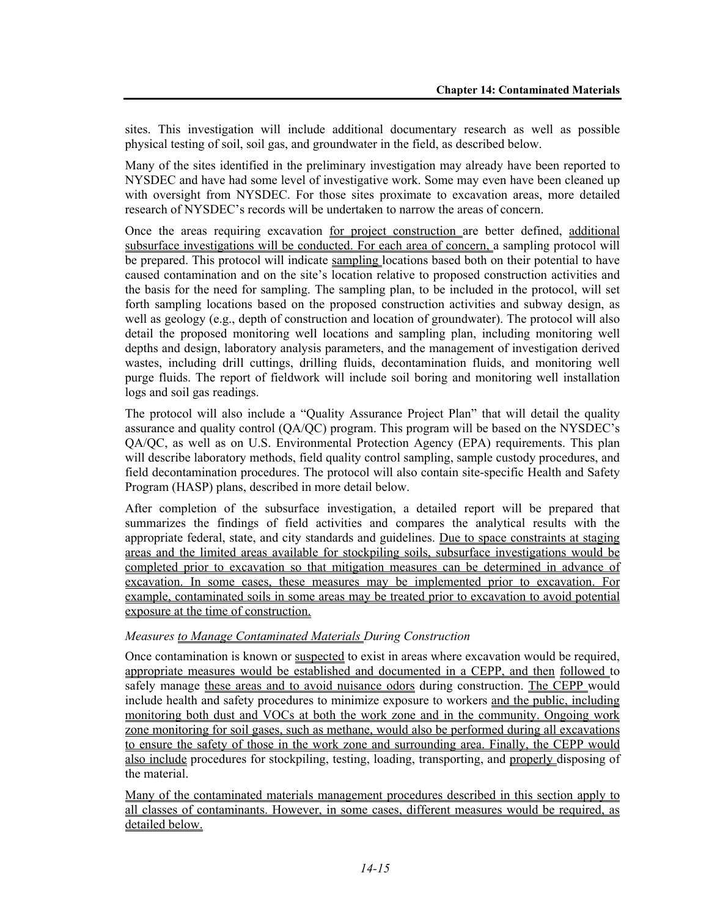sites. This investigation will include additional documentary research as well as possible physical testing of soil, soil gas, and groundwater in the field, as described below.

Many of the sites identified in the preliminary investigation may already have been reported to NYSDEC and have had some level of investigative work. Some may even have been cleaned up with oversight from NYSDEC. For those sites proximate to excavation areas, more detailed research of NYSDEC's records will be undertaken to narrow the areas of concern.

Once the areas requiring excavation for project construction are better defined, additional subsurface investigations will be conducted. For each area of concern, a sampling protocol will be prepared. This protocol will indicate sampling locations based both on their potential to have caused contamination and on the site's location relative to proposed construction activities and the basis for the need for sampling. The sampling plan, to be included in the protocol, will set forth sampling locations based on the proposed construction activities and subway design, as well as geology (e.g., depth of construction and location of groundwater). The protocol will also detail the proposed monitoring well locations and sampling plan, including monitoring well depths and design, laboratory analysis parameters, and the management of investigation derived wastes, including drill cuttings, drilling fluids, decontamination fluids, and monitoring well purge fluids. The report of fieldwork will include soil boring and monitoring well installation logs and soil gas readings.

The protocol will also include a "Quality Assurance Project Plan" that will detail the quality assurance and quality control (QA/QC) program. This program will be based on the NYSDEC's QA/QC, as well as on U.S. Environmental Protection Agency (EPA) requirements. This plan will describe laboratory methods, field quality control sampling, sample custody procedures, and field decontamination procedures. The protocol will also contain site-specific Health and Safety Program (HASP) plans, described in more detail below.

After completion of the subsurface investigation, a detailed report will be prepared that summarizes the findings of field activities and compares the analytical results with the appropriate federal, state, and city standards and guidelines. Due to space constraints at staging areas and the limited areas available for stockpiling soils, subsurface investigations would be completed prior to excavation so that mitigation measures can be determined in advance of excavation. In some cases, these measures may be implemented prior to excavation. For example, contaminated soils in some areas may be treated prior to excavation to avoid potential exposure at the time of construction.

#### *Measures to Manage Contaminated Materials During Construction*

Once contamination is known or suspected to exist in areas where excavation would be required, appropriate measures would be established and documented in a CEPP, and then followed to safely manage these areas and to avoid nuisance odors during construction. The CEPP would include health and safety procedures to minimize exposure to workers and the public, including monitoring both dust and VOCs at both the work zone and in the community. Ongoing work zone monitoring for soil gases, such as methane, would also be performed during all excavations to ensure the safety of those in the work zone and surrounding area. Finally, the CEPP would also include procedures for stockpiling, testing, loading, transporting, and properly disposing of the material.

Many of the contaminated materials management procedures described in this section apply to all classes of contaminants. However, in some cases, different measures would be required, as detailed below.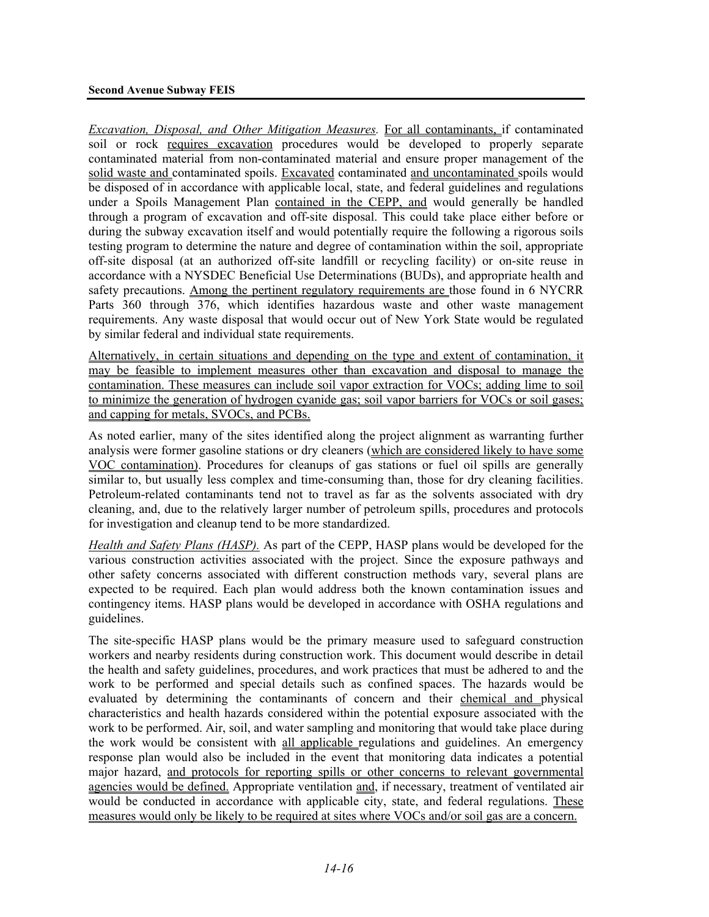*Excavation, Disposal, and Other Mitigation Measures. For all contaminants, if contaminated* soil or rock requires excavation procedures would be developed to properly separate contaminated material from non-contaminated material and ensure proper management of the solid waste and contaminated spoils. Excavated contaminated and uncontaminated spoils would be disposed of in accordance with applicable local, state, and federal guidelines and regulations under a Spoils Management Plan contained in the CEPP, and would generally be handled through a program of excavation and off-site disposal. This could take place either before or during the subway excavation itself and would potentially require the following a rigorous soils testing program to determine the nature and degree of contamination within the soil, appropriate off-site disposal (at an authorized off-site landfill or recycling facility) or on-site reuse in accordance with a NYSDEC Beneficial Use Determinations (BUDs), and appropriate health and safety precautions. Among the pertinent regulatory requirements are those found in 6 NYCRR Parts 360 through 376, which identifies hazardous waste and other waste management requirements. Any waste disposal that would occur out of New York State would be regulated by similar federal and individual state requirements.

Alternatively, in certain situations and depending on the type and extent of contamination, it may be feasible to implement measures other than excavation and disposal to manage the contamination. These measures can include soil vapor extraction for VOCs; adding lime to soil to minimize the generation of hydrogen cyanide gas; soil vapor barriers for VOCs or soil gases; and capping for metals, SVOCs, and PCBs.

As noted earlier, many of the sites identified along the project alignment as warranting further analysis were former gasoline stations or dry cleaners (which are considered likely to have some VOC contamination). Procedures for cleanups of gas stations or fuel oil spills are generally similar to, but usually less complex and time-consuming than, those for dry cleaning facilities. Petroleum-related contaminants tend not to travel as far as the solvents associated with dry cleaning, and, due to the relatively larger number of petroleum spills, procedures and protocols for investigation and cleanup tend to be more standardized.

*Health and Safety Plans (HASP).* As part of the CEPP, HASP plans would be developed for the various construction activities associated with the project. Since the exposure pathways and other safety concerns associated with different construction methods vary, several plans are expected to be required. Each plan would address both the known contamination issues and contingency items. HASP plans would be developed in accordance with OSHA regulations and guidelines.

The site-specific HASP plans would be the primary measure used to safeguard construction workers and nearby residents during construction work. This document would describe in detail the health and safety guidelines, procedures, and work practices that must be adhered to and the work to be performed and special details such as confined spaces. The hazards would be evaluated by determining the contaminants of concern and their chemical and physical characteristics and health hazards considered within the potential exposure associated with the work to be performed. Air, soil, and water sampling and monitoring that would take place during the work would be consistent with all applicable regulations and guidelines. An emergency response plan would also be included in the event that monitoring data indicates a potential major hazard, and protocols for reporting spills or other concerns to relevant governmental agencies would be defined. Appropriate ventilation and, if necessary, treatment of ventilated air would be conducted in accordance with applicable city, state, and federal regulations. These measures would only be likely to be required at sites where VOCs and/or soil gas are a concern.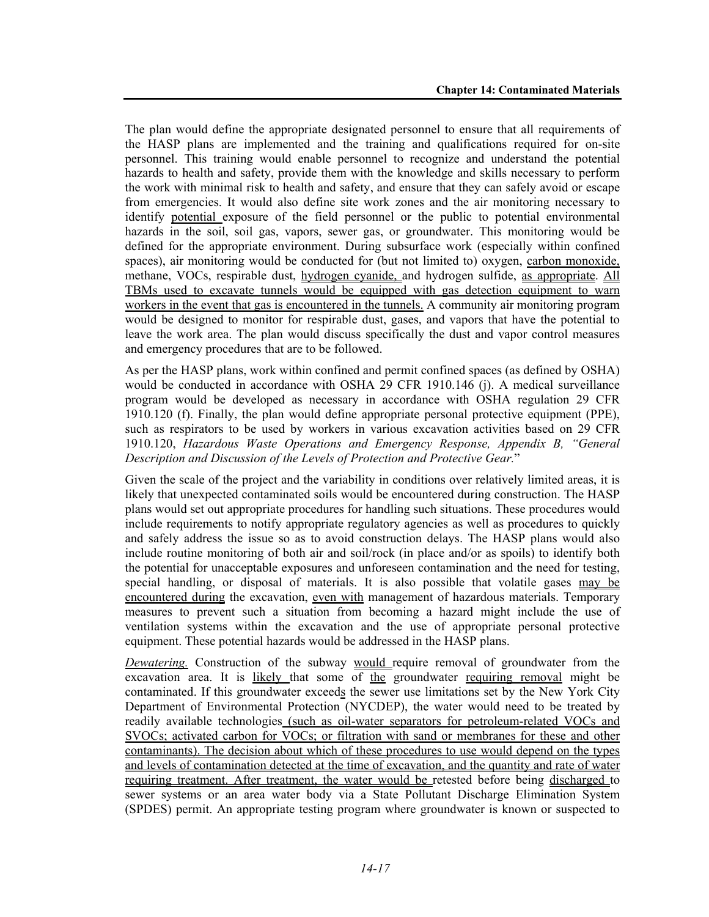The plan would define the appropriate designated personnel to ensure that all requirements of the HASP plans are implemented and the training and qualifications required for on-site personnel. This training would enable personnel to recognize and understand the potential hazards to health and safety, provide them with the knowledge and skills necessary to perform the work with minimal risk to health and safety, and ensure that they can safely avoid or escape from emergencies. It would also define site work zones and the air monitoring necessary to identify potential exposure of the field personnel or the public to potential environmental hazards in the soil, soil gas, vapors, sewer gas, or groundwater. This monitoring would be defined for the appropriate environment. During subsurface work (especially within confined spaces), air monitoring would be conducted for (but not limited to) oxygen, carbon monoxide, methane, VOCs, respirable dust, hydrogen cyanide, and hydrogen sulfide, as appropriate. All TBMs used to excavate tunnels would be equipped with gas detection equipment to warn workers in the event that gas is encountered in the tunnels. A community air monitoring program would be designed to monitor for respirable dust, gases, and vapors that have the potential to leave the work area. The plan would discuss specifically the dust and vapor control measures and emergency procedures that are to be followed.

As per the HASP plans, work within confined and permit confined spaces (as defined by OSHA) would be conducted in accordance with OSHA 29 CFR 1910.146 (j). A medical surveillance program would be developed as necessary in accordance with OSHA regulation 29 CFR 1910.120 (f). Finally, the plan would define appropriate personal protective equipment (PPE), such as respirators to be used by workers in various excavation activities based on 29 CFR 1910.120, *Hazardous Waste Operations and Emergency Response, Appendix B, "General Description and Discussion of the Levels of Protection and Protective Gear.*"

Given the scale of the project and the variability in conditions over relatively limited areas, it is likely that unexpected contaminated soils would be encountered during construction. The HASP plans would set out appropriate procedures for handling such situations. These procedures would include requirements to notify appropriate regulatory agencies as well as procedures to quickly and safely address the issue so as to avoid construction delays. The HASP plans would also include routine monitoring of both air and soil/rock (in place and/or as spoils) to identify both the potential for unacceptable exposures and unforeseen contamination and the need for testing, special handling, or disposal of materials. It is also possible that volatile gases may be encountered during the excavation, even with management of hazardous materials. Temporary measures to prevent such a situation from becoming a hazard might include the use of ventilation systems within the excavation and the use of appropriate personal protective equipment. These potential hazards would be addressed in the HASP plans.

*Dewatering.* Construction of the subway would require removal of groundwater from the excavation area. It is likely that some of the groundwater requiring removal might be contaminated. If this groundwater exceeds the sewer use limitations set by the New York City Department of Environmental Protection (NYCDEP), the water would need to be treated by readily available technologies (such as oil-water separators for petroleum-related VOCs and SVOCs; activated carbon for VOCs; or filtration with sand or membranes for these and other contaminants). The decision about which of these procedures to use would depend on the types and levels of contamination detected at the time of excavation, and the quantity and rate of water requiring treatment. After treatment, the water would be retested before being discharged to sewer systems or an area water body via a State Pollutant Discharge Elimination System (SPDES) permit. An appropriate testing program where groundwater is known or suspected to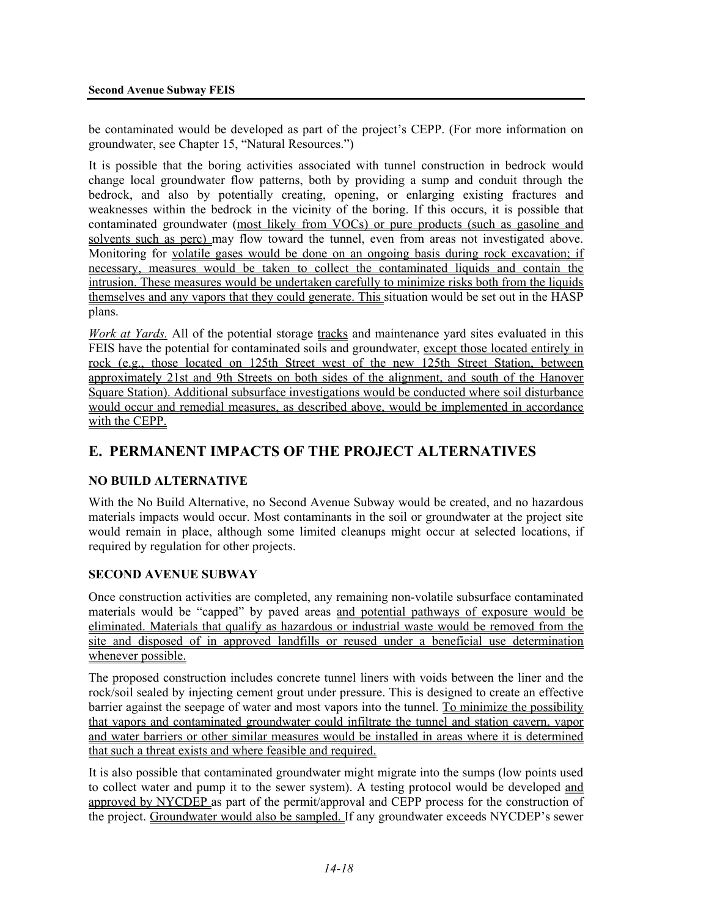be contaminated would be developed as part of the project's CEPP. (For more information on groundwater, see Chapter 15, "Natural Resources.")

It is possible that the boring activities associated with tunnel construction in bedrock would change local groundwater flow patterns, both by providing a sump and conduit through the bedrock, and also by potentially creating, opening, or enlarging existing fractures and weaknesses within the bedrock in the vicinity of the boring. If this occurs, it is possible that contaminated groundwater (most likely from VOCs) or pure products (such as gasoline and solvents such as perc) may flow toward the tunnel, even from areas not investigated above. Monitoring for volatile gases would be done on an ongoing basis during rock excavation; if necessary, measures would be taken to collect the contaminated liquids and contain the intrusion. These measures would be undertaken carefully to minimize risks both from the liquids themselves and any vapors that they could generate. This situation would be set out in the HASP plans.

*Work at Yards.* All of the potential storage tracks and maintenance yard sites evaluated in this FEIS have the potential for contaminated soils and groundwater, except those located entirely in rock (e.g., those located on 125th Street west of the new 125th Street Station, between approximately 21st and 9th Streets on both sides of the alignment, and south of the Hanover Square Station). Additional subsurface investigations would be conducted where soil disturbance would occur and remedial measures, as described above, would be implemented in accordance with the CEPP.

# **E. PERMANENT IMPACTS OF THE PROJECT ALTERNATIVES**

### **NO BUILD ALTERNATIVE**

With the No Build Alternative, no Second Avenue Subway would be created, and no hazardous materials impacts would occur. Most contaminants in the soil or groundwater at the project site would remain in place, although some limited cleanups might occur at selected locations, if required by regulation for other projects.

### **SECOND AVENUE SUBWAY**

Once construction activities are completed, any remaining non-volatile subsurface contaminated materials would be "capped" by paved areas and potential pathways of exposure would be eliminated. Materials that qualify as hazardous or industrial waste would be removed from the site and disposed of in approved landfills or reused under a beneficial use determination whenever possible.

The proposed construction includes concrete tunnel liners with voids between the liner and the rock/soil sealed by injecting cement grout under pressure. This is designed to create an effective barrier against the seepage of water and most vapors into the tunnel. To minimize the possibility that vapors and contaminated groundwater could infiltrate the tunnel and station cavern, vapor and water barriers or other similar measures would be installed in areas where it is determined that such a threat exists and where feasible and required.

It is also possible that contaminated groundwater might migrate into the sumps (low points used to collect water and pump it to the sewer system). A testing protocol would be developed and approved by NYCDEP as part of the permit/approval and CEPP process for the construction of the project. Groundwater would also be sampled. If any groundwater exceeds NYCDEP's sewer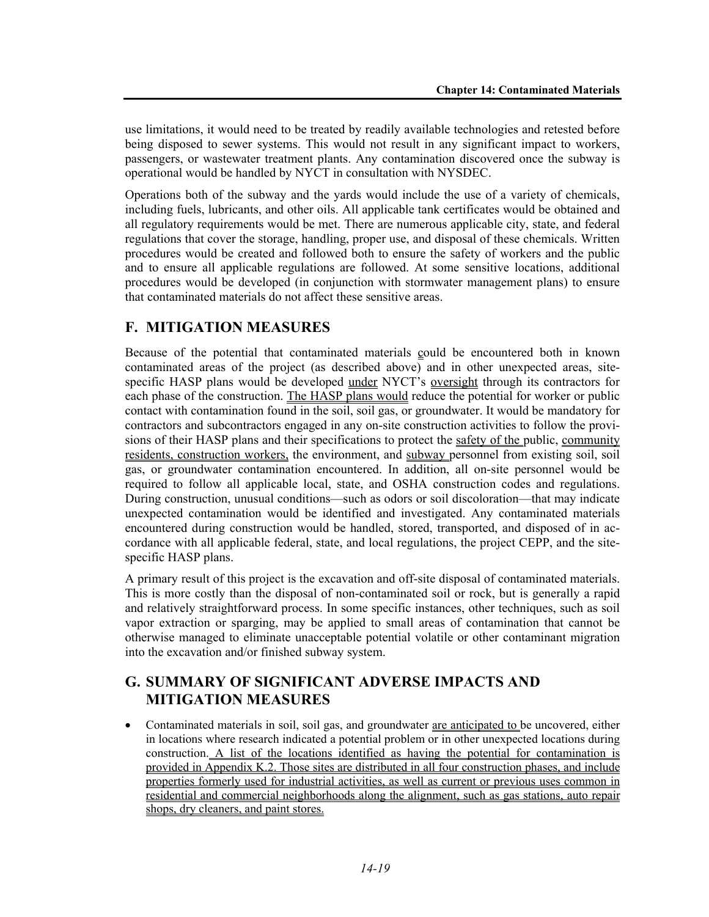use limitations, it would need to be treated by readily available technologies and retested before being disposed to sewer systems. This would not result in any significant impact to workers, passengers, or wastewater treatment plants. Any contamination discovered once the subway is operational would be handled by NYCT in consultation with NYSDEC.

Operations both of the subway and the yards would include the use of a variety of chemicals, including fuels, lubricants, and other oils. All applicable tank certificates would be obtained and all regulatory requirements would be met. There are numerous applicable city, state, and federal regulations that cover the storage, handling, proper use, and disposal of these chemicals. Written procedures would be created and followed both to ensure the safety of workers and the public and to ensure all applicable regulations are followed. At some sensitive locations, additional procedures would be developed (in conjunction with stormwater management plans) to ensure that contaminated materials do not affect these sensitive areas.

# **F. MITIGATION MEASURES**

Because of the potential that contaminated materials could be encountered both in known contaminated areas of the project (as described above) and in other unexpected areas, sitespecific HASP plans would be developed under NYCT's oversight through its contractors for each phase of the construction. The HASP plans would reduce the potential for worker or public contact with contamination found in the soil, soil gas, or groundwater. It would be mandatory for contractors and subcontractors engaged in any on-site construction activities to follow the provisions of their HASP plans and their specifications to protect the safety of the public, community residents, construction workers, the environment, and subway personnel from existing soil, soil gas, or groundwater contamination encountered. In addition, all on-site personnel would be required to follow all applicable local, state, and OSHA construction codes and regulations. During construction, unusual conditions—such as odors or soil discoloration—that may indicate unexpected contamination would be identified and investigated. Any contaminated materials encountered during construction would be handled, stored, transported, and disposed of in accordance with all applicable federal, state, and local regulations, the project CEPP, and the sitespecific HASP plans.

A primary result of this project is the excavation and off-site disposal of contaminated materials. This is more costly than the disposal of non-contaminated soil or rock, but is generally a rapid and relatively straightforward process. In some specific instances, other techniques, such as soil vapor extraction or sparging, may be applied to small areas of contamination that cannot be otherwise managed to eliminate unacceptable potential volatile or other contaminant migration into the excavation and/or finished subway system.

# **G. SUMMARY OF SIGNIFICANT ADVERSE IMPACTS AND MITIGATION MEASURES**

• Contaminated materials in soil, soil gas, and groundwater are anticipated to be uncovered, either in locations where research indicated a potential problem or in other unexpected locations during construction. A list of the locations identified as having the potential for contamination is provided in Appendix K.2. Those sites are distributed in all four construction phases, and include properties formerly used for industrial activities, as well as current or previous uses common in residential and commercial neighborhoods along the alignment, such as gas stations, auto repair shops, dry cleaners, and paint stores.